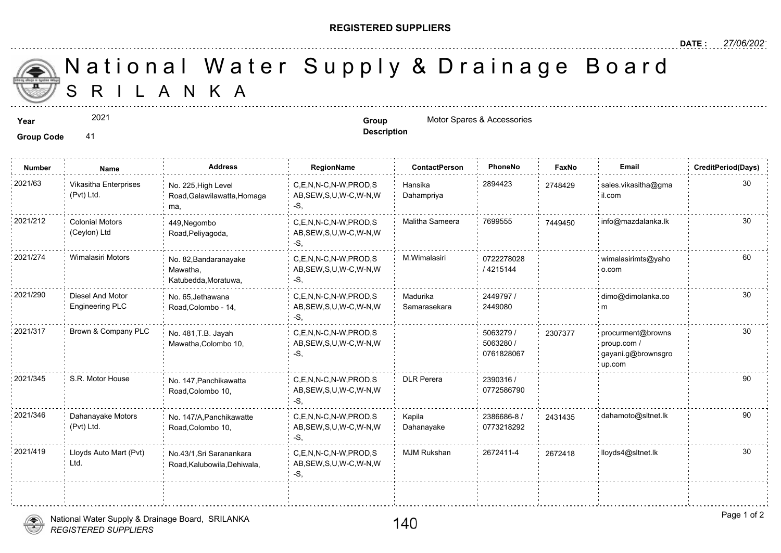## **REGISTERED SUPPLIERS**

**Description**

**Number Name Address RegionName ContactPerson PhoneNo FaxNo Email CreditPeriod(Days)**

 S R I L A N K A National Water Supply & Drainage

**Year Group** Motor Spares & Accessories

2021

**Group Code** 41

| 2021/63  | Vikasitha Enterprises<br>(Pvt) Ltd.        | No. 225, High Level<br>Road, Galawilawatta, Homaga<br>ma, | C,E,N,N-C,N-W,PROD,S<br>AB,SEW,S,U,W-C,W-N,W<br>-S.         | Hansika<br>Dahampriya    | 2894423                              | 274842 |
|----------|--------------------------------------------|-----------------------------------------------------------|-------------------------------------------------------------|--------------------------|--------------------------------------|--------|
| 2021/212 | <b>Colonial Motors</b><br>(Ceylon) Ltd     | 449, Negombo<br>Road, Peliyagoda,                         | C.E.N.N-C.N-W.PROD.S<br>AB, SEW, S, U, W-C, W-N, W<br>-S.   | Malitha Sameera          | 7699555                              | 744945 |
| 2021/274 | Wimalasiri Motors                          | No. 82, Bandaranayake<br>Mawatha.<br>Katubedda, Moratuwa, | C,E,N,N-C,N-W,PROD,S<br>AB, SEW, S, U, W-C, W-N, W<br>-S.   | M.Wimalasiri             | 0722278028<br>4215144                |        |
| 2021/290 | Diesel And Motor<br><b>Engineering PLC</b> | No. 65, Jethawana<br>Road, Colombo - 14,                  | C,E,N,N-C,N-W,PROD,S<br>AB, SEW, S, U, W-C, W-N, W<br>-S.   | Madurika<br>Samarasekara | 2449797 /<br>2449080                 |        |
| 2021/317 | Brown & Company PLC                        | No. 481, T.B. Jayah<br>Mawatha, Colombo 10,               | C,E,N,N-C,N-W,PROD,S<br>AB, SEW, S, U, W-C, W-N, W<br>S.    |                          | 5063279 /<br>5063280 /<br>0761828067 | 230737 |
| 2021/345 | S.R. Motor House                           | No. 147, Panchikawatta<br>Road, Colombo 10,               | C,E,N,N-C,N-W,PROD,S<br>AB, SEW, S, U, W-C, W-N, W          | <b>DLR Perera</b>        | 2390316 /<br>0772586790              |        |
| 2021/346 | Dahanayake Motors<br>(Pvt) Ltd.            | No. 147/A, Panchikawatte<br>Road, Colombo 10,             | C,E,N,N-C,N-W,PROD,S<br>AB, SEW, S, U, W-C, W-N, W<br>∶ -S. | Kapila<br>Dahanayake     | 2386686-8 /<br>0773218292            | 243143 |

## *REGISTERED SUPPLIERS* National Water Supply & Drainage Board, SRILANKA

<u>. . . . . . . . . . . . . . . . .</u>

Lloyds Auto Mart (Pvt)

Ltd.

No.43/1,Sri Saranankara Road,Kalubowila,Dehiwala,

C,E,N,N-C,N-W,PROD,S MJM Rukshan 2672411-4 30 2021/419 2672418 lloyds4@sltnet.lk

AB,SEW,S,U,W-C,W-N,W

-S,